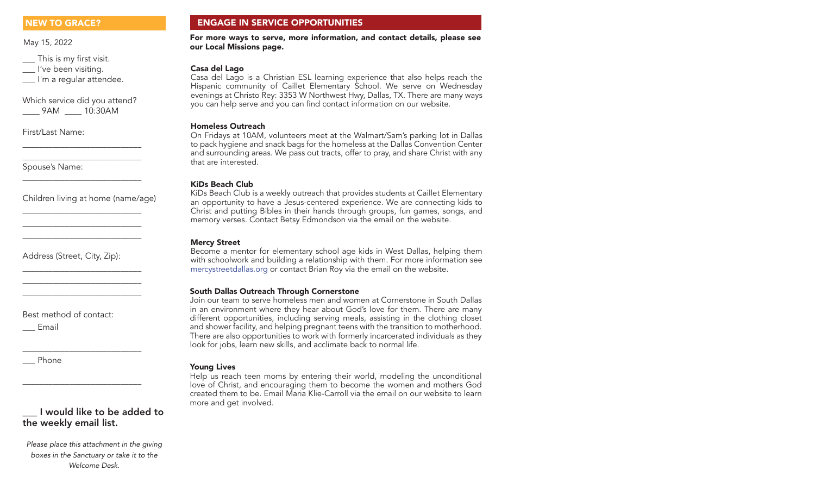May 15, 2022

\_\_\_ This is my first visit. \_\_\_ I've been visiting.

I'm a regular attendee.

Which service did you attend? \_\_\_\_ 9AM \_\_\_\_ 10:30AM

\_\_\_\_\_\_\_\_\_\_\_\_\_\_\_\_\_\_\_\_\_\_\_\_\_\_\_\_ \_\_\_\_\_\_\_\_\_\_\_\_\_\_\_\_\_\_\_\_\_\_\_\_\_\_\_\_

\_\_\_\_\_\_\_\_\_\_\_\_\_\_\_\_\_\_\_\_\_\_\_\_\_\_\_\_

\_\_\_\_\_\_\_\_\_\_\_\_\_\_\_\_\_\_\_\_\_\_\_\_\_\_\_\_ \_\_\_\_\_\_\_\_\_\_\_\_\_\_\_\_\_\_\_\_\_\_\_\_\_\_\_\_ \_\_\_\_\_\_\_\_\_\_\_\_\_\_\_\_\_\_\_\_\_\_\_\_\_\_\_\_

\_\_\_\_\_\_\_\_\_\_\_\_\_\_\_\_\_\_\_\_\_\_\_\_\_\_\_\_ \_\_\_\_\_\_\_\_\_\_\_\_\_\_\_\_\_\_\_\_\_\_\_\_\_\_\_\_ \_\_\_\_\_\_\_\_\_\_\_\_\_\_\_\_\_\_\_\_\_\_\_\_\_\_\_\_

\_\_\_\_\_\_\_\_\_\_\_\_\_\_\_\_\_\_\_\_\_\_\_\_\_\_\_\_

\_\_\_\_\_\_\_\_\_\_\_\_\_\_\_\_\_\_\_\_\_\_\_\_\_\_\_\_

First/Last Name:

Spouse's Name:

Children living at home (name/age)

Address (Street, City, Zip):

Best method of contact:

\_\_\_ Email

\_\_\_ Phone

# \_\_\_ I would like to be added to the weekly email list.

*Please place this attachment in the giving boxes in the Sanctuary or take it to the Welcome Desk.*

# NEW TO GRACE? ENGAGE IN SERVICE OPPORTUNITIES

For more ways to serve, more information, and contact details, please see our Local Missions page.

# Casa del Lago

Casa del Lago is a Christian ESL learning experience that also helps reach the Hispanic community of Caillet Elementary School. We serve on Wednesday evenings at Christo Rey: 3353 W Northwest Hwy, Dallas, TX. There are many ways you can help serve and you can find contact information on our website.

## Homeless Outreach

On Fridays at 10AM, volunteers meet at the Walmart/Sam's parking lot in Dallas to pack hygiene and snack bags for the homeless at the Dallas Convention Center and surrounding areas. We pass out tracts, offer to pray, and share Christ with any that are interested.

# KiDs Beach Club

KiDs Beach Club is a weekly outreach that provides students at Caillet Elementary an opportunity to have a Jesus-centered experience. We are connecting kids to Christ and putting Bibles in their hands through groups, fun games, songs, and memory verses. Contact Betsy Edmondson via the email on the website.

# Mercy Street

Become a mentor for elementary school age kids in West Dallas, helping them with schoolwork and building a relationship with them. For more information see mercystreetdallas.org or contact Brian Roy via the email on the website.

## South Dallas Outreach Through Cornerstone

Join our team to serve homeless men and women at Cornerstone in South Dallas in an environment where they hear about God's love for them. There are many different opportunities, including serving meals, assisting in the clothing closet and shower facility, and helping pregnant teens with the transition to motherhood. There are also opportunities to work with formerly incarcerated individuals as they look for jobs, learn new skills, and acclimate back to normal life.

## Young Lives

Help us reach teen moms by entering their world, modeling the unconditional love of Christ, and encouraging them to become the women and mothers God created them to be. Email Maria Klie-Carroll via the email on our website to learn more and get involved.